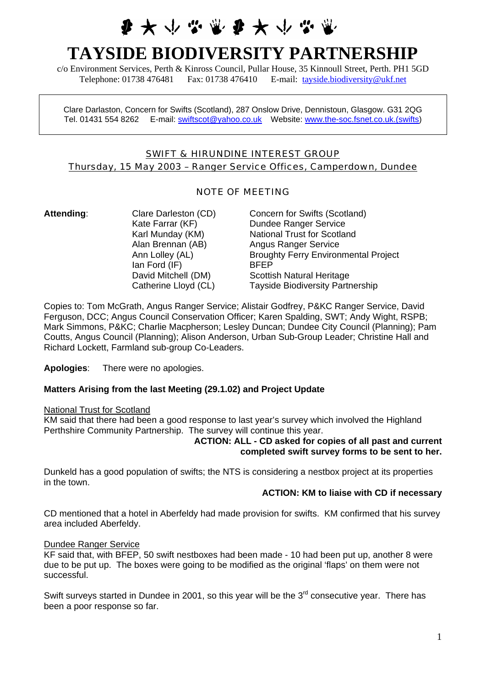# 第 大 小 心 當 要 大 小 必

# **TAYSIDE BIODIVERSITY PARTNERSHIP**

c/o Environment Services, Perth & Kinross Council, Pullar House, 35 Kinnoull Street, Perth. PH1 5GD Telephone: 01738 476481 Fax: 01738 476410 E-mail: [tayside.biodiversity@ukf.net](mailto:tayside.biodiversity@ukf.net)

Clare Darlaston, Concern for Swifts (Scotland), 287 Onslow Drive, Dennistoun, Glasgow. G31 2QG Tel. 01431 554 8262 E-mail: [swiftscot@yahoo.co.uk](mailto:swiftscot@yahoo.co.uk) Website: [www.the-soc.fsnet.co.uk.\(swifts](http://www.the-soc.fsnet.co.uk.(swifts/))

# SWIFT & HIRUNDINE INTEREST GROUP Thursday, 15 May 2003 – Ranger Service Offices, Camperdown, Dundee

# NOTE OF MEETING

Ian Ford (IF) BFEP

Attending: Clare Darleston (CD) Concern for Swifts (Scotland) Kate Farrar (KF) Dundee Ranger Service Karl Munday (KM) National Trust for Scotland Alan Brennan (AB) Angus Ranger Service Ann Lolley (AL) Broughty Ferry Environmental Project David Mitchell (DM) Scottish Natural Heritage Catherine Lloyd (CL) Tayside Biodiversity Partnership

Copies to: Tom McGrath, Angus Ranger Service; Alistair Godfrey, P&KC Ranger Service, David Ferguson, DCC; Angus Council Conservation Officer; Karen Spalding, SWT; Andy Wight, RSPB; Mark Simmons, P&KC; Charlie Macpherson; Lesley Duncan; Dundee City Council (Planning); Pam Coutts, Angus Council (Planning); Alison Anderson, Urban Sub-Group Leader; Christine Hall and Richard Lockett, Farmland sub-group Co-Leaders.

**Apologies**: There were no apologies.

## **Matters Arising from the last Meeting (29.1.02) and Project Update**

National Trust for Scotland

KM said that there had been a good response to last year's survey which involved the Highland Perthshire Community Partnership. The survey will continue this year.

#### **ACTION: ALL - CD asked for copies of all past and current completed swift survey forms to be sent to her.**

Dunkeld has a good population of swifts; the NTS is considering a nestbox project at its properties in the town.

## **ACTION: KM to liaise with CD if necessary**

CD mentioned that a hotel in Aberfeldy had made provision for swifts. KM confirmed that his survey area included Aberfeldy.

#### Dundee Ranger Service

KF said that, with BFEP, 50 swift nestboxes had been made - 10 had been put up, another 8 were due to be put up. The boxes were going to be modified as the original 'flaps' on them were not successful.

Swift surveys started in Dundee in 2001, so this year will be the  $3<sup>rd</sup>$  consecutive year. There has been a poor response so far.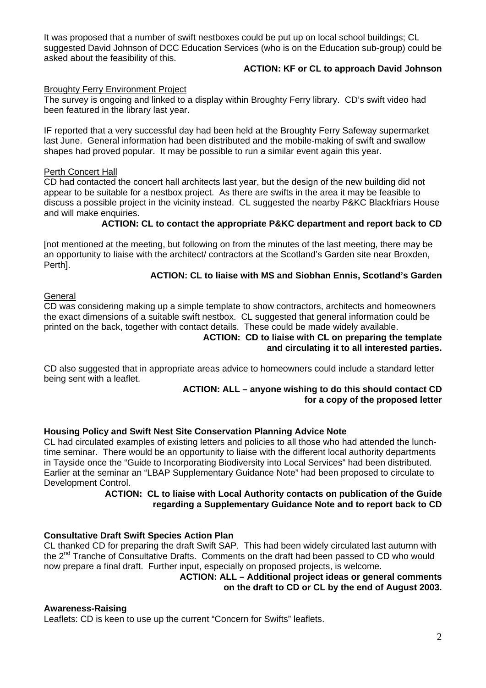It was proposed that a number of swift nestboxes could be put up on local school buildings; CL suggested David Johnson of DCC Education Services (who is on the Education sub-group) could be asked about the feasibility of this.

# **ACTION: KF or CL to approach David Johnson**

## Broughty Ferry Environment Project

The survey is ongoing and linked to a display within Broughty Ferry library. CD's swift video had been featured in the library last year.

IF reported that a very successful day had been held at the Broughty Ferry Safeway supermarket last June. General information had been distributed and the mobile-making of swift and swallow shapes had proved popular. It may be possible to run a similar event again this year.

## Perth Concert Hall

CD had contacted the concert hall architects last year, but the design of the new building did not appear to be suitable for a nestbox project. As there are swifts in the area it may be feasible to discuss a possible project in the vicinity instead. CL suggested the nearby P&KC Blackfriars House and will make enquiries.

# **ACTION: CL to contact the appropriate P&KC department and report back to CD**

[not mentioned at the meeting, but following on from the minutes of the last meeting, there may be an opportunity to liaise with the architect/ contractors at the Scotland's Garden site near Broxden, Perth].

# **ACTION: CL to liaise with MS and Siobhan Ennis, Scotland's Garden**

## **General**

CD was considering making up a simple template to show contractors, architects and homeowners the exact dimensions of a suitable swift nestbox. CL suggested that general information could be printed on the back, together with contact details. These could be made widely available.

#### **ACTION: CD to liaise with CL on preparing the template and circulating it to all interested parties.**

CD also suggested that in appropriate areas advice to homeowners could include a standard letter being sent with a leaflet.

## **ACTION: ALL – anyone wishing to do this should contact CD for a copy of the proposed letter**

## **Housing Policy and Swift Nest Site Conservation Planning Advice Note**

CL had circulated examples of existing letters and policies to all those who had attended the lunchtime seminar. There would be an opportunity to liaise with the different local authority departments in Tayside once the "Guide to Incorporating Biodiversity into Local Services" had been distributed. Earlier at the seminar an "LBAP Supplementary Guidance Note" had been proposed to circulate to Development Control.

## **ACTION: CL to liaise with Local Authority contacts on publication of the Guide regarding a Supplementary Guidance Note and to report back to CD**

# **Consultative Draft Swift Species Action Plan**

CL thanked CD for preparing the draft Swift SAP. This had been widely circulated last autumn with the 2<sup>nd</sup> Tranche of Consultative Drafts. Comments on the draft had been passed to CD who would now prepare a final draft. Further input, especially on proposed projects, is welcome.

**ACTION: ALL – Additional project ideas or general comments on the draft to CD or CL by the end of August 2003.** 

## **Awareness-Raising**

Leaflets: CD is keen to use up the current "Concern for Swifts" leaflets.